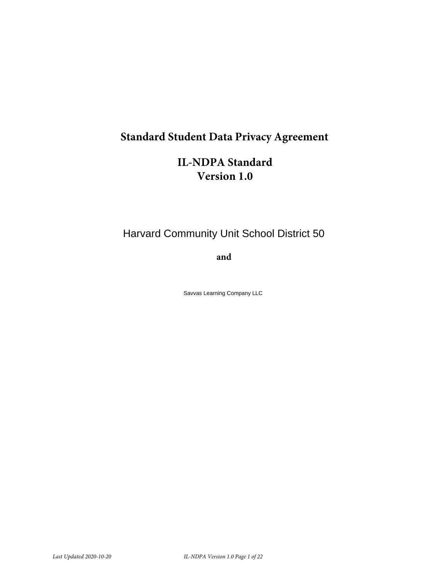# **Standard Student Data Privacy Agreement**

# **IL-NDPA Standard Version 1.0**

# Harvard Community Unit School District 50

**and**

Savvas Learning Company LLC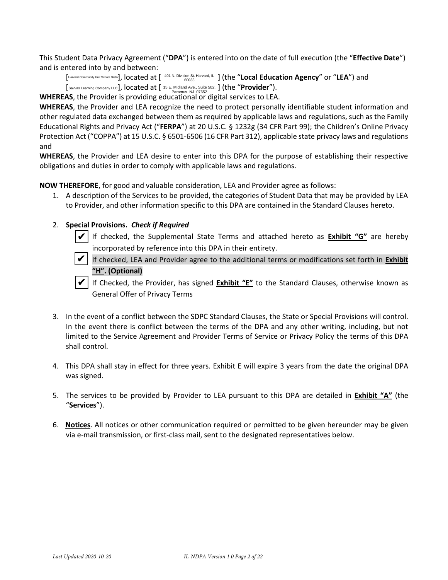This Student Data Privacy Agreement ("**DPA**") is entered into on the date of full execution (the "**Effective Date**") and is entered into by and between:

[Harvard Community Unit School Distric], located at [ <sup>401 N. Division St. Harvard, IL</sup> ] (the "**Local Education Agency**" or "**LEA**") and [Savvas Learning Company LLC], located at [15 E. Midland Ave., Suite 502, ] (the "**Provider"**).

**WHEREAS**, the Provider is providing educational or digital services to LEA.

**WHEREAS**, the Provider and LEA recognize the need to protect personally identifiable student information and other regulated data exchanged between them as required by applicable laws and regulations, such as the Family Educational Rights and Privacy Act ("**FERPA**") at 20 U.S.C. § 1232g (34 CFR Part 99); the Children's Online Privacy Protection Act ("COPPA") at 15 U.S.C. § 6501-6506 (16 CFR Part 312), applicable state privacy laws and regulations and

**WHEREAS**, the Provider and LEA desire to enter into this DPA for the purpose of establishing their respective obligations and duties in order to comply with applicable laws and regulations.

**NOW THEREFORE**, for good and valuable consideration, LEA and Provider agree as follows:

1. A description of the Services to be provided, the categories of Student Data that may be provided by LEA to Provider, and other information specific to this DPA are contained in the Standard Clauses hereto.

### 2. **Special Provisions.** *Check if Required*

 If checked, the Supplemental State Terms and attached hereto as **Exhibit "G"** are hereby incorporated by reference into this DPA in their entirety. ✔

 If checked, LEA and Provider agree to the additional terms or modifications set forth in **Exhibit "H". (Optional)** ✔

 If Checked, the Provider, has signed **Exhibit "E"** to the Standard Clauses, otherwise known as General Offer of Privacy Terms ✔

- 3. In the event of a conflict between the SDPC Standard Clauses, the State or Special Provisions will control. In the event there is conflict between the terms of the DPA and any other writing, including, but not limited to the Service Agreement and Provider Terms of Service or Privacy Policy the terms of this DPA shall control.
- 4. This DPA shall stay in effect for three years. Exhibit E will expire 3 years from the date the original DPA was signed.
- 5. The services to be provided by Provider to LEA pursuant to this DPA are detailed in **Exhibit "A"** (the "**Services**").
- 6. **Notices**. All notices or other communication required or permitted to be given hereunder may be given via e-mail transmission, or first-class mail, sent to the designated representatives below.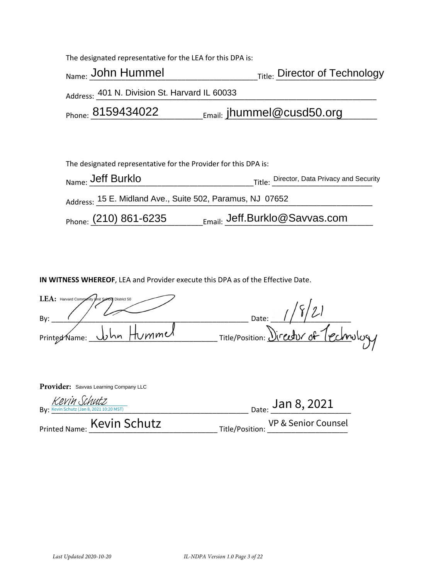The designated representative for the LEA for this DPA is:

| Name: John Hummel                             | <sub>Title:</sub> Director of Technology |
|-----------------------------------------------|------------------------------------------|
| Address: 401 N. Division St. Harvard IL 60033 |                                          |
| Phone: 8159434022                             | $_{Email:}$ jhummel@cusd50.org           |
|                                               |                                          |

| The designated representative for the Provider for this DPA is: |                                            |  |  |
|-----------------------------------------------------------------|--------------------------------------------|--|--|
| Name: Jeff Burklo                                               | Title: Director, Data Privacy and Security |  |  |
| Address: 15 E. Midland Ave., Suite 502, Paramus, NJ 07652       |                                            |  |  |
| Phone: (210) 861-6235                                           | $_{\text{Email:}}$ Jeff.Burklo@Savvas.com  |  |  |

**IN WITNESS WHEREOF**, LEA and Provider execute this DPA as of the Effective Date.

| LEA: Harvard Community Unit School District 50 |                                        |
|------------------------------------------------|----------------------------------------|
| By:                                            | Date:                                  |
| Printed Name: <u>John</u> Hummed               | Title/Position: Director of Technology |
|                                                |                                        |

| <b>Provider:</b> Savvas Learning Company LLC             |                                     |
|----------------------------------------------------------|-------------------------------------|
| Kevin Schutz<br>By: Kevin Schutz (Jan 8, 2021 10:20 MST) | $_{\text{Date:}}$ Jan 8, 2021       |
| Printed Name: Kevin Schutz                               | Title/Position: VP & Senior Counsel |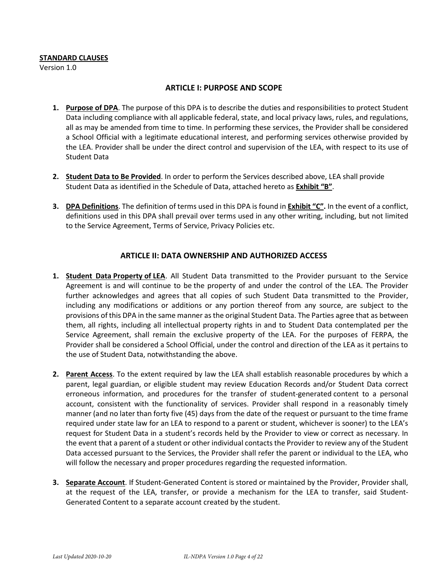#### **STANDARD CLAUSES**

Version 1.0

### **ARTICLE I: PURPOSE AND SCOPE**

- **1. Purpose of DPA**. The purpose of this DPA is to describe the duties and responsibilities to protect Student Data including compliance with all applicable federal, state, and local privacy laws, rules, and regulations, all as may be amended from time to time. In performing these services, the Provider shall be considered a School Official with a legitimate educational interest, and performing services otherwise provided by the LEA. Provider shall be under the direct control and supervision of the LEA, with respect to its use of Student Data
- **2. Student Data to Be Provided**. In order to perform the Services described above, LEA shall provide Student Data as identified in the Schedule of Data, attached hereto as **Exhibit "B"**.
- **3. DPA Definitions**. The definition of terms used in this DPA is found in **Exhibit "C".** In the event of a conflict, definitions used in this DPA shall prevail over terms used in any other writing, including, but not limited to the Service Agreement, Terms of Service, Privacy Policies etc.

### **ARTICLE II: DATA OWNERSHIP AND AUTHORIZED ACCESS**

- **1. Student Data Property of LEA**. All Student Data transmitted to the Provider pursuant to the Service Agreement is and will continue to be the property of and under the control of the LEA. The Provider further acknowledges and agrees that all copies of such Student Data transmitted to the Provider, including any modifications or additions or any portion thereof from any source, are subject to the provisions of this DPA in the same manner as the original Student Data. The Parties agree that as between them, all rights, including all intellectual property rights in and to Student Data contemplated per the Service Agreement, shall remain the exclusive property of the LEA. For the purposes of FERPA, the Provider shall be considered a School Official, under the control and direction of the LEA as it pertains to the use of Student Data, notwithstanding the above.
- **2. Parent Access**. To the extent required by law the LEA shall establish reasonable procedures by which a parent, legal guardian, or eligible student may review Education Records and/or Student Data correct erroneous information, and procedures for the transfer of student-generated content to a personal account, consistent with the functionality of services. Provider shall respond in a reasonably timely manner (and no later than forty five (45) days from the date of the request or pursuant to the time frame required under state law for an LEA to respond to a parent or student, whichever is sooner) to the LEA's request for Student Data in a student's records held by the Provider to view or correct as necessary. In the event that a parent of a student or other individual contacts the Provider to review any of the Student Data accessed pursuant to the Services, the Provider shall refer the parent or individual to the LEA, who will follow the necessary and proper procedures regarding the requested information.
- **3. Separate Account**. If Student-Generated Content is stored or maintained by the Provider, Provider shall, at the request of the LEA, transfer, or provide a mechanism for the LEA to transfer, said Student-Generated Content to a separate account created by the student.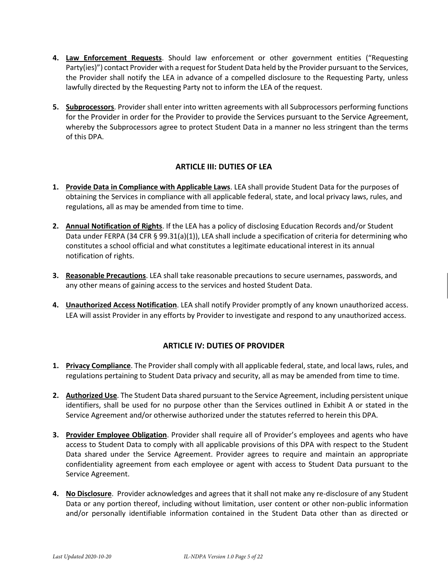- **4. Law Enforcement Requests**. Should law enforcement or other government entities ("Requesting Party(ies)") contact Provider with a request for Student Data held by the Provider pursuant to the Services, the Provider shall notify the LEA in advance of a compelled disclosure to the Requesting Party, unless lawfully directed by the Requesting Party not to inform the LEA of the request.
- **5. Subprocessors**. Provider shall enter into written agreements with all Subprocessors performing functions for the Provider in order for the Provider to provide the Services pursuant to the Service Agreement, whereby the Subprocessors agree to protect Student Data in a manner no less stringent than the terms of this DPA.

### **ARTICLE III: DUTIES OF LEA**

- **1. Provide Data in Compliance with Applicable Laws**. LEA shall provide Student Data for the purposes of obtaining the Services in compliance with all applicable federal, state, and local privacy laws, rules, and regulations, all as may be amended from time to time.
- **2. Annual Notification of Rights**. If the LEA has a policy of disclosing Education Records and/or Student Data under FERPA (34 CFR § 99.31(a)(1)), LEA shall include a specification of criteria for determining who constitutes a school official and what constitutes a legitimate educational interest in its annual notification of rights.
- **3. Reasonable Precautions**. LEA shall take reasonable precautions to secure usernames, passwords, and any other means of gaining access to the services and hosted Student Data.
- **4. Unauthorized Access Notification**. LEA shall notify Provider promptly of any known unauthorized access. LEA will assist Provider in any efforts by Provider to investigate and respond to any unauthorized access.

### **ARTICLE IV: DUTIES OF PROVIDER**

- **1. Privacy Compliance**. The Provider shall comply with all applicable federal, state, and local laws, rules, and regulations pertaining to Student Data privacy and security, all as may be amended from time to time.
- **2. Authorized Use**. The Student Data shared pursuant to the Service Agreement, including persistent unique identifiers, shall be used for no purpose other than the Services outlined in Exhibit A or stated in the Service Agreement and/or otherwise authorized under the statutes referred to herein this DPA.
- **3. Provider Employee Obligation**. Provider shall require all of Provider's employees and agents who have access to Student Data to comply with all applicable provisions of this DPA with respect to the Student Data shared under the Service Agreement. Provider agrees to require and maintain an appropriate confidentiality agreement from each employee or agent with access to Student Data pursuant to the Service Agreement.
- **4. No Disclosure**. Provider acknowledges and agrees that it shall not make any re-disclosure of any Student Data or any portion thereof, including without limitation, user content or other non-public information and/or personally identifiable information contained in the Student Data other than as directed or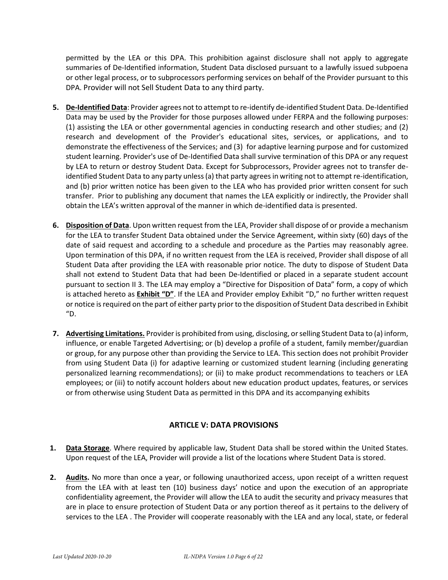permitted by the LEA or this DPA. This prohibition against disclosure shall not apply to aggregate summaries of De-Identified information, Student Data disclosed pursuant to a lawfully issued subpoena or other legal process, or to subprocessors performing services on behalf of the Provider pursuant to this DPA. Provider will not Sell Student Data to any third party.

- **5. De-Identified Data**: Provider agrees not to attempt to re-identify de-identified Student Data. De-Identified Data may be used by the Provider for those purposes allowed under FERPA and the following purposes: (1) assisting the LEA or other governmental agencies in conducting research and other studies; and (2) research and development of the Provider's educational sites, services, or applications, and to demonstrate the effectiveness of the Services; and (3) for adaptive learning purpose and for customized student learning. Provider's use of De-Identified Data shall survive termination of this DPA or any request by LEA to return or destroy Student Data. Except for Subprocessors, Provider agrees not to transfer deidentified Student Data to any party unless (a) that party agrees in writing not to attempt re-identification, and (b) prior written notice has been given to the LEA who has provided prior written consent for such transfer. Prior to publishing any document that names the LEA explicitly or indirectly, the Provider shall obtain the LEA's written approval of the manner in which de-identified data is presented.
- **6. Disposition of Data**. Upon written request from the LEA, Provider shall dispose of or provide a mechanism for the LEA to transfer Student Data obtained under the Service Agreement, within sixty (60) days of the date of said request and according to a schedule and procedure as the Parties may reasonably agree. Upon termination of this DPA, if no written request from the LEA is received, Provider shall dispose of all Student Data after providing the LEA with reasonable prior notice. The duty to dispose of Student Data shall not extend to Student Data that had been De-Identified or placed in a separate student account pursuant to section II 3. The LEA may employ a "Directive for Disposition of Data" form, a copy of which is attached hereto as **Exhibit "D"**. If the LEA and Provider employ Exhibit "D," no further written request or notice is required on the part of either party prior to the disposition of Student Data described in Exhibit "D.
- **7. Advertising Limitations.** Provider is prohibited from using, disclosing, or selling Student Data to (a) inform, influence, or enable Targeted Advertising; or (b) develop a profile of a student, family member/guardian or group, for any purpose other than providing the Service to LEA. This section does not prohibit Provider from using Student Data (i) for adaptive learning or customized student learning (including generating personalized learning recommendations); or (ii) to make product recommendations to teachers or LEA employees; or (iii) to notify account holders about new education product updates, features, or services or from otherwise using Student Data as permitted in this DPA and its accompanying exhibits

## **ARTICLE V: DATA PROVISIONS**

- **1. Data Storage**. Where required by applicable law, Student Data shall be stored within the United States. Upon request of the LEA, Provider will provide a list of the locations where Student Data is stored.
- **2. Audits.** No more than once a year, or following unauthorized access, upon receipt of a written request from the LEA with at least ten (10) business days' notice and upon the execution of an appropriate confidentiality agreement, the Provider will allow the LEA to audit the security and privacy measures that are in place to ensure protection of Student Data or any portion thereof as it pertains to the delivery of services to the LEA . The Provider will cooperate reasonably with the LEA and any local, state, or federal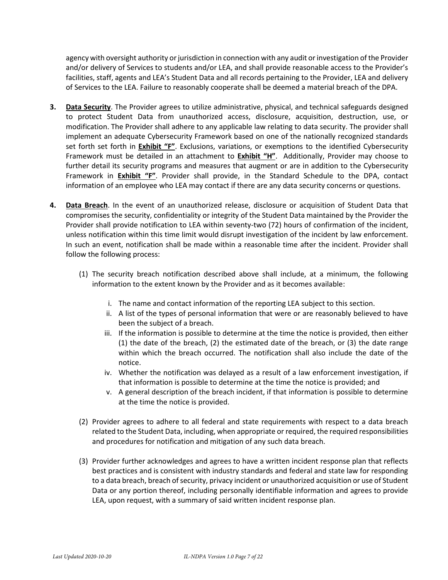agency with oversight authority or jurisdiction in connection with any audit or investigation of the Provider and/or delivery of Services to students and/or LEA, and shall provide reasonable access to the Provider's facilities, staff, agents and LEA's Student Data and all records pertaining to the Provider, LEA and delivery of Services to the LEA. Failure to reasonably cooperate shall be deemed a material breach of the DPA.

- **3. Data Security**. The Provider agrees to utilize administrative, physical, and technical safeguards designed to protect Student Data from unauthorized access, disclosure, acquisition, destruction, use, or modification. The Provider shall adhere to any applicable law relating to data security. The provider shall implement an adequate Cybersecurity Framework based on one of the nationally recognized standards set forth set forth in **Exhibit "F"**. Exclusions, variations, or exemptions to the identified Cybersecurity Framework must be detailed in an attachment to **Exhibit "H"**. Additionally, Provider may choose to further detail its security programs and measures that augment or are in addition to the Cybersecurity Framework in **Exhibit "F"**. Provider shall provide, in the Standard Schedule to the DPA, contact information of an employee who LEA may contact if there are any data security concerns or questions.
- **4. Data Breach**. In the event of an unauthorized release, disclosure or acquisition of Student Data that compromises the security, confidentiality or integrity of the Student Data maintained by the Provider the Provider shall provide notification to LEA within seventy-two (72) hours of confirmation of the incident, unless notification within this time limit would disrupt investigation of the incident by law enforcement. In such an event, notification shall be made within a reasonable time after the incident. Provider shall follow the following process:
	- (1) The security breach notification described above shall include, at a minimum, the following information to the extent known by the Provider and as it becomes available:
		- i. The name and contact information of the reporting LEA subject to this section.
		- ii. A list of the types of personal information that were or are reasonably believed to have been the subject of a breach.
		- iii. If the information is possible to determine at the time the notice is provided, then either (1) the date of the breach, (2) the estimated date of the breach, or (3) the date range within which the breach occurred. The notification shall also include the date of the notice.
		- iv. Whether the notification was delayed as a result of a law enforcement investigation, if that information is possible to determine at the time the notice is provided; and
		- v. A general description of the breach incident, if that information is possible to determine at the time the notice is provided.
	- (2) Provider agrees to adhere to all federal and state requirements with respect to a data breach related to the Student Data, including, when appropriate or required, the required responsibilities and procedures for notification and mitigation of any such data breach.
	- (3) Provider further acknowledges and agrees to have a written incident response plan that reflects best practices and is consistent with industry standards and federal and state law for responding to a data breach, breach of security, privacy incident or unauthorized acquisition or use of Student Data or any portion thereof, including personally identifiable information and agrees to provide LEA, upon request, with a summary of said written incident response plan.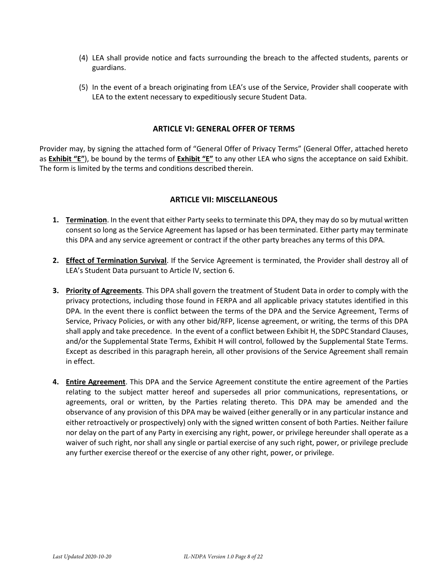- (4) LEA shall provide notice and facts surrounding the breach to the affected students, parents or guardians.
- (5) In the event of a breach originating from LEA's use of the Service, Provider shall cooperate with LEA to the extent necessary to expeditiously secure Student Data.

#### **ARTICLE VI: GENERAL OFFER OF TERMS**

Provider may, by signing the attached form of "General Offer of Privacy Terms" (General Offer, attached hereto as **Exhibit "E"**), be bound by the terms of **Exhibit "E"** to any other LEA who signs the acceptance on said Exhibit. The form is limited by the terms and conditions described therein.

### **ARTICLE VII: MISCELLANEOUS**

- **1. Termination**. In the event that either Party seeks to terminate this DPA, they may do so by mutual written consent so long as the Service Agreement has lapsed or has been terminated. Either party may terminate this DPA and any service agreement or contract if the other party breaches any terms of this DPA.
- **2. Effect of Termination Survival**. If the Service Agreement is terminated, the Provider shall destroy all of LEA's Student Data pursuant to Article IV, section 6.
- **3. Priority of Agreements**. This DPA shall govern the treatment of Student Data in order to comply with the privacy protections, including those found in FERPA and all applicable privacy statutes identified in this DPA. In the event there is conflict between the terms of the DPA and the Service Agreement, Terms of Service, Privacy Policies, or with any other bid/RFP, license agreement, or writing, the terms of this DPA shall apply and take precedence. In the event of a conflict between Exhibit H, the SDPC Standard Clauses, and/or the Supplemental State Terms, Exhibit H will control, followed by the Supplemental State Terms. Except as described in this paragraph herein, all other provisions of the Service Agreement shall remain in effect.
- **4. Entire Agreement**. This DPA and the Service Agreement constitute the entire agreement of the Parties relating to the subject matter hereof and supersedes all prior communications, representations, or agreements, oral or written, by the Parties relating thereto. This DPA may be amended and the observance of any provision of this DPA may be waived (either generally or in any particular instance and either retroactively or prospectively) only with the signed written consent of both Parties. Neither failure nor delay on the part of any Party in exercising any right, power, or privilege hereunder shall operate as a waiver of such right, nor shall any single or partial exercise of any such right, power, or privilege preclude any further exercise thereof or the exercise of any other right, power, or privilege.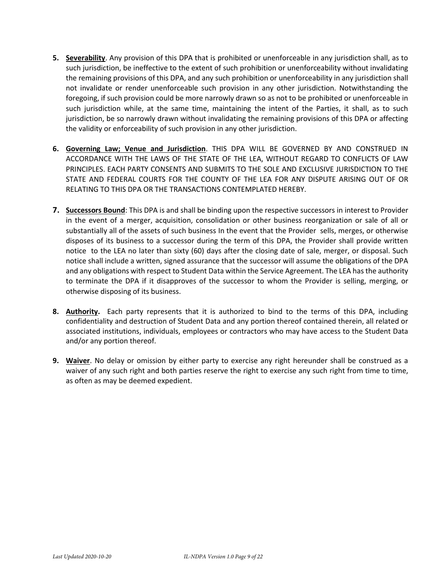- **5. Severability**. Any provision of this DPA that is prohibited or unenforceable in any jurisdiction shall, as to such jurisdiction, be ineffective to the extent of such prohibition or unenforceability without invalidating the remaining provisions of this DPA, and any such prohibition or unenforceability in any jurisdiction shall not invalidate or render unenforceable such provision in any other jurisdiction. Notwithstanding the foregoing, if such provision could be more narrowly drawn so as not to be prohibited or unenforceable in such jurisdiction while, at the same time, maintaining the intent of the Parties, it shall, as to such jurisdiction, be so narrowly drawn without invalidating the remaining provisions of this DPA or affecting the validity or enforceability of such provision in any other jurisdiction.
- **6. Governing Law; Venue and Jurisdiction**. THIS DPA WILL BE GOVERNED BY AND CONSTRUED IN ACCORDANCE WITH THE LAWS OF THE STATE OF THE LEA, WITHOUT REGARD TO CONFLICTS OF LAW PRINCIPLES. EACH PARTY CONSENTS AND SUBMITS TO THE SOLE AND EXCLUSIVE JURISDICTION TO THE STATE AND FEDERAL COURTS FOR THE COUNTY OF THE LEA FOR ANY DISPUTE ARISING OUT OF OR RELATING TO THIS DPA OR THE TRANSACTIONS CONTEMPLATED HEREBY.
- **7. Successors Bound**: This DPA is and shall be binding upon the respective successors in interest to Provider in the event of a merger, acquisition, consolidation or other business reorganization or sale of all or substantially all of the assets of such business In the event that the Provider sells, merges, or otherwise disposes of its business to a successor during the term of this DPA, the Provider shall provide written notice to the LEA no later than sixty (60) days after the closing date of sale, merger, or disposal. Such notice shall include a written, signed assurance that the successor will assume the obligations of the DPA and any obligations with respect to Student Data within the Service Agreement. The LEA has the authority to terminate the DPA if it disapproves of the successor to whom the Provider is selling, merging, or otherwise disposing of its business.
- **8. Authority.** Each party represents that it is authorized to bind to the terms of this DPA, including confidentiality and destruction of Student Data and any portion thereof contained therein, all related or associated institutions, individuals, employees or contractors who may have access to the Student Data and/or any portion thereof.
- **9. Waiver**. No delay or omission by either party to exercise any right hereunder shall be construed as a waiver of any such right and both parties reserve the right to exercise any such right from time to time, as often as may be deemed expedient.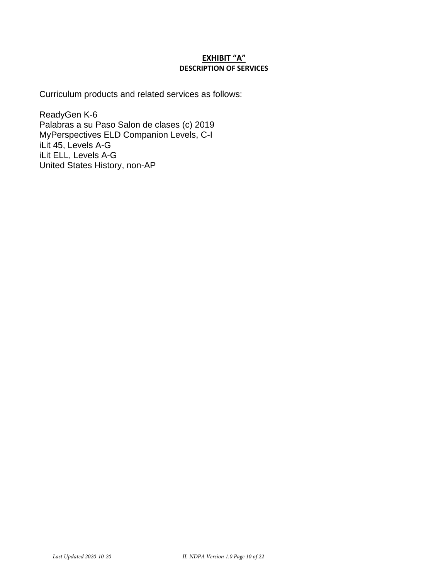### **EXHIBIT "A" DESCRIPTION OF SERVICES**

Curriculum products and related services as follows:

ReadyGen K-6 Palabras a su Paso Salon de clases (c) 2019 MyPerspectives ELD Companion Levels, C-I iLit 45, Levels A-G iLit ELL, Levels A-G United States History, non-AP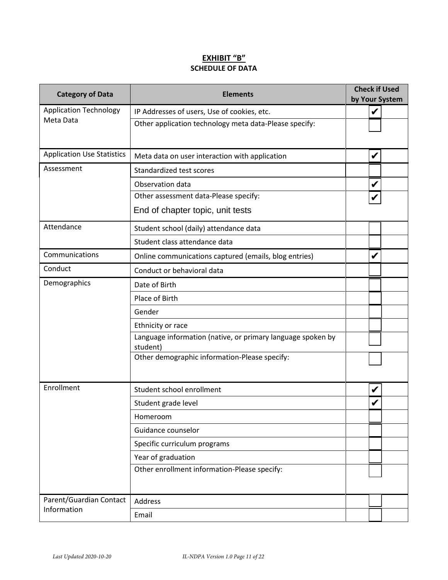### **EXHIBIT "B" SCHEDULE OF DATA**

| <b>Category of Data</b>           | <b>Check if Used</b><br><b>Elements</b><br>by Your System               |   |  |
|-----------------------------------|-------------------------------------------------------------------------|---|--|
| <b>Application Technology</b>     | IP Addresses of users, Use of cookies, etc.                             | V |  |
| Meta Data                         | Other application technology meta data-Please specify:                  |   |  |
| <b>Application Use Statistics</b> | Meta data on user interaction with application                          | V |  |
| Assessment                        | Standardized test scores                                                |   |  |
|                                   | Observation data                                                        | V |  |
|                                   | Other assessment data-Please specify:                                   |   |  |
|                                   | End of chapter topic, unit tests                                        |   |  |
| Attendance                        | Student school (daily) attendance data                                  |   |  |
|                                   | Student class attendance data                                           |   |  |
| Communications                    | Online communications captured (emails, blog entries)                   | V |  |
| Conduct                           | Conduct or behavioral data                                              |   |  |
| Demographics                      | Date of Birth                                                           |   |  |
|                                   | Place of Birth                                                          |   |  |
|                                   | Gender                                                                  |   |  |
|                                   | Ethnicity or race                                                       |   |  |
|                                   | Language information (native, or primary language spoken by<br>student) |   |  |
|                                   | Other demographic information-Please specify:                           |   |  |
| Enrollment                        | Student school enrollment                                               |   |  |
|                                   | Student grade level                                                     |   |  |
|                                   | Homeroom                                                                |   |  |
|                                   | Guidance counselor                                                      |   |  |
|                                   | Specific curriculum programs                                            |   |  |
|                                   | Year of graduation                                                      |   |  |
|                                   | Other enrollment information-Please specify:                            |   |  |
| Parent/Guardian Contact           | Address                                                                 |   |  |
| Information                       | Email                                                                   |   |  |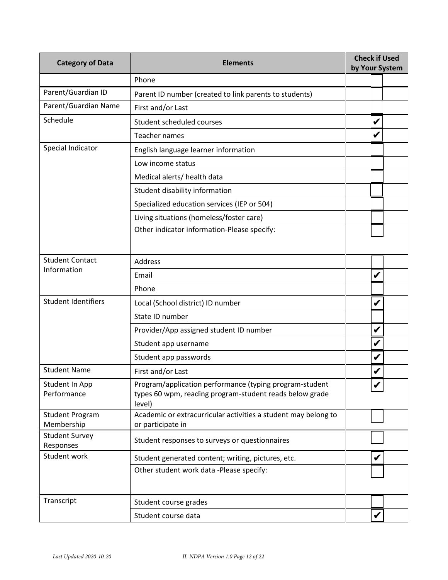| <b>Category of Data</b>              | <b>Check if Used</b><br><b>Elements</b><br>by Your System                                                                    |  |   |  |
|--------------------------------------|------------------------------------------------------------------------------------------------------------------------------|--|---|--|
|                                      | Phone                                                                                                                        |  |   |  |
| Parent/Guardian ID                   | Parent ID number (created to link parents to students)                                                                       |  |   |  |
| Parent/Guardian Name                 | First and/or Last                                                                                                            |  |   |  |
| Schedule                             | Student scheduled courses                                                                                                    |  | V |  |
|                                      | <b>Teacher names</b>                                                                                                         |  | V |  |
| Special Indicator                    | English language learner information                                                                                         |  |   |  |
|                                      | Low income status                                                                                                            |  |   |  |
|                                      | Medical alerts/ health data                                                                                                  |  |   |  |
|                                      | Student disability information                                                                                               |  |   |  |
|                                      | Specialized education services (IEP or 504)                                                                                  |  |   |  |
|                                      | Living situations (homeless/foster care)                                                                                     |  |   |  |
|                                      | Other indicator information-Please specify:                                                                                  |  |   |  |
|                                      |                                                                                                                              |  |   |  |
| <b>Student Contact</b>               | <b>Address</b>                                                                                                               |  |   |  |
| Information                          | Email                                                                                                                        |  | V |  |
|                                      | Phone                                                                                                                        |  |   |  |
| <b>Student Identifiers</b>           | Local (School district) ID number                                                                                            |  | V |  |
|                                      | State ID number                                                                                                              |  |   |  |
|                                      | Provider/App assigned student ID number                                                                                      |  | V |  |
|                                      | Student app username                                                                                                         |  | V |  |
|                                      | Student app passwords                                                                                                        |  | V |  |
| <b>Student Name</b>                  | First and/or Last                                                                                                            |  |   |  |
| Student In App<br>Performance        | Program/application performance (typing program-student<br>types 60 wpm, reading program-student reads below grade<br>level) |  |   |  |
| <b>Student Program</b><br>Membership | Academic or extracurricular activities a student may belong to<br>or participate in                                          |  |   |  |
| <b>Student Survey</b><br>Responses   | Student responses to surveys or questionnaires                                                                               |  |   |  |
| Student work                         | Student generated content; writing, pictures, etc.                                                                           |  |   |  |
|                                      | Other student work data -Please specify:                                                                                     |  |   |  |
|                                      |                                                                                                                              |  |   |  |
| Transcript                           | Student course grades                                                                                                        |  |   |  |
|                                      | Student course data                                                                                                          |  | V |  |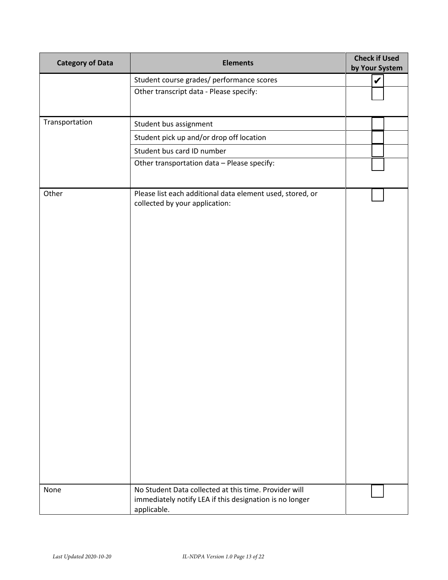| <b>Category of Data</b> | <b>Elements</b>                                                                                                                 | <b>Check if Used</b><br>by Your System |
|-------------------------|---------------------------------------------------------------------------------------------------------------------------------|----------------------------------------|
|                         | Student course grades/ performance scores                                                                                       | V                                      |
|                         | Other transcript data - Please specify:                                                                                         |                                        |
| Transportation          | Student bus assignment                                                                                                          |                                        |
|                         | Student pick up and/or drop off location                                                                                        |                                        |
|                         | Student bus card ID number                                                                                                      |                                        |
|                         | Other transportation data - Please specify:                                                                                     |                                        |
| Other                   | Please list each additional data element used, stored, or<br>collected by your application:                                     |                                        |
| None                    | No Student Data collected at this time. Provider will<br>immediately notify LEA if this designation is no longer<br>applicable. |                                        |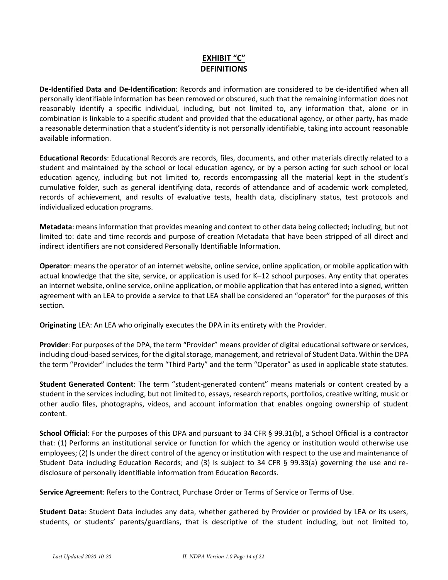## **EXHIBIT "C" DEFINITIONS**

**De-Identified Data and De-Identification**: Records and information are considered to be de-identified when all personally identifiable information has been removed or obscured, such that the remaining information does not reasonably identify a specific individual, including, but not limited to, any information that, alone or in combination is linkable to a specific student and provided that the educational agency, or other party, has made a reasonable determination that a student's identity is not personally identifiable, taking into account reasonable available information.

**Educational Records**: Educational Records are records, files, documents, and other materials directly related to a student and maintained by the school or local education agency, or by a person acting for such school or local education agency, including but not limited to, records encompassing all the material kept in the student's cumulative folder, such as general identifying data, records of attendance and of academic work completed, records of achievement, and results of evaluative tests, health data, disciplinary status, test protocols and individualized education programs.

**Metadata**: means information that provides meaning and context to other data being collected; including, but not limited to: date and time records and purpose of creation Metadata that have been stripped of all direct and indirect identifiers are not considered Personally Identifiable Information.

**Operator**: means the operator of an internet website, online service, online application, or mobile application with actual knowledge that the site, service, or application is used for K–12 school purposes. Any entity that operates an internet website, online service, online application, or mobile application that has entered into a signed, written agreement with an LEA to provide a service to that LEA shall be considered an "operator" for the purposes of this section.

**Originating** LEA: An LEA who originally executes the DPA in its entirety with the Provider.

**Provider**: For purposes of the DPA, the term "Provider" means provider of digital educational software or services, including cloud-based services, for the digital storage, management, and retrieval of Student Data. Within the DPA the term "Provider" includes the term "Third Party" and the term "Operator" as used in applicable state statutes.

**Student Generated Content**: The term "student-generated content" means materials or content created by a student in the services including, but not limited to, essays, research reports, portfolios, creative writing, music or other audio files, photographs, videos, and account information that enables ongoing ownership of student content.

**School Official**: For the purposes of this DPA and pursuant to 34 CFR § 99.31(b), a School Official is a contractor that: (1) Performs an institutional service or function for which the agency or institution would otherwise use employees; (2) Is under the direct control of the agency or institution with respect to the use and maintenance of Student Data including Education Records; and (3) Is subject to 34 CFR § 99.33(a) governing the use and redisclosure of personally identifiable information from Education Records.

**Service Agreement**: Refers to the Contract, Purchase Order or Terms of Service or Terms of Use.

**Student Data**: Student Data includes any data, whether gathered by Provider or provided by LEA or its users, students, or students' parents/guardians, that is descriptive of the student including, but not limited to,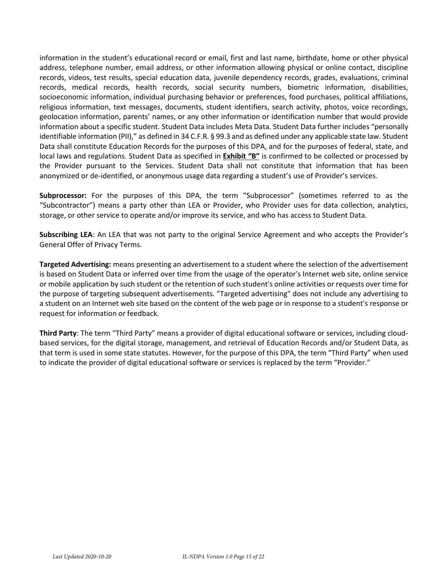information in the student's educational record or email, first and last name, birthdate, home or other physical address, telephone number, email address, or other information allowing physical or online contact, discipline records, videos, test results, special education data, juvenile dependency records, grades, evaluations, criminal records, medical records, health records, social security numbers, biometric information, disabilities, socioeconomic information, individual purchasing behavior or preferences, food purchases, political affiliations, religious information, text messages, documents, student identifiers, search activity, photos, voice recordings, geolocation information, parents' names, or any other information or identification number that would provide information about a specific student. Student Data includes Meta Data. Student Data further includes "personally identifiable information (PII)," as defined in 34 C.F.R. § 99.3 and as defined under any applicable state law. Student Data shall constitute Education Records for the purposes of this DPA, and for the purposes of federal, state, and local laws and regulations. Student Data as specified in **Exhibit "B"** is confirmed to be collected or processed by the Provider pursuant to the Services. Student Data shall not constitute that information that has been anonymized or de-identified, or anonymous usage data regarding a student's use of Provider's services.

**Subprocessor:** For the purposes of this DPA, the term "Subprocessor" (sometimes referred to as the "Subcontractor") means a party other than LEA or Provider, who Provider uses for data collection, analytics, storage, or other service to operate and/or improve its service, and who has access to Student Data.

**Subscribing LEA**: An LEA that was not party to the original Service Agreement and who accepts the Provider's General Offer of Privacy Terms.

**Targeted Advertising:** means presenting an advertisement to a student where the selection of the advertisement is based on Student Data or inferred over time from the usage of the operator's Internet web site, online service or mobile application by such student or the retention of such student's online activities or requests over time for the purpose of targeting subsequent advertisements. "Targeted advertising" does not include any advertising to a student on an Internet web site based on the content of the web page or in response to a student's response or request for information or feedback.

**Third Party**: The term "Third Party" means a provider of digital educational software or services, including cloudbased services, for the digital storage, management, and retrieval of Education Records and/or Student Data, as that term is used in some state statutes. However, for the purpose of this DPA, the term "Third Party" when used to indicate the provider of digital educational software or services is replaced by the term "Provider."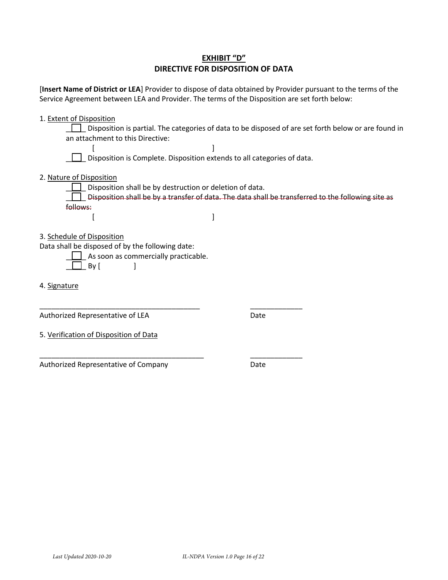| <b>EXHIBIT "D"</b>                |
|-----------------------------------|
| DIRECTIVE FOR DISPOSITION OF DATA |

[**Insert Name of District or LEA**] Provider to dispose of data obtained by Provider pursuant to the terms of the Service Agreement between LEA and Provider. The terms of the Disposition are set forth below:

1. Extent of Disposition

\_\_\_\_\_ Disposition is partial. The categories of data to be disposed of are set forth below or are found in an attachment to this Directive:

[] Disposition is Complete. Disposition extends to all categories of data.

2. Nature of Disposition

Disposition shall be by destruction or deletion of data.  $\Box$  Disposition shall be by a transfer of data. The data shall be transferred to the following site as follows:  $[$ 

3. Schedule of Disposition

Data shall be disposed of by the following date:

\_\_\_\_\_\_\_\_\_\_\_\_\_\_\_\_\_\_\_\_\_\_\_\_\_\_\_\_\_\_\_\_\_\_\_\_\_\_\_\_

\_\_\_\_\_\_\_\_\_\_\_\_\_\_\_\_\_\_\_\_\_\_\_\_\_\_\_\_\_\_\_\_\_\_\_\_\_\_\_\_\_

- $\Box$  As soon as commercially practicable.  $\Box$  By [  $\Box$
- 4. Signature

Authorized Representative of LEA

Date

\_\_\_\_\_\_\_\_\_\_\_\_\_

\_\_\_\_\_\_\_\_\_\_\_\_\_

5. Verification of Disposition of Data

Authorized Representative of Company

Date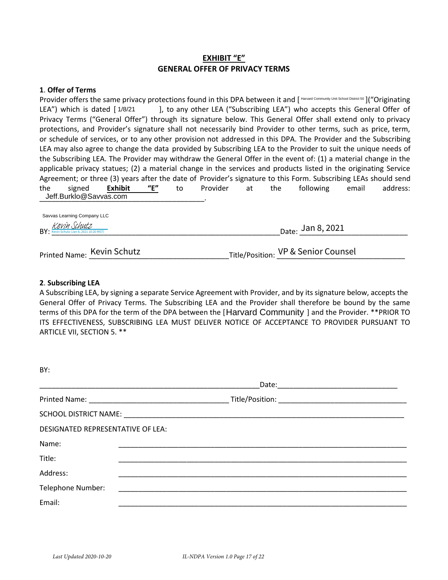### **EXHIBIT "E" GENERAL OFFER OF PRIVACY TERMS**

#### **1**. **Offer of Terms**

Provider offers the same privacy protections found in this DPA between it and [Harvard Community Unit School District 50]("Originating LEA") which is dated [1/8/21  $\qquad$ ], to any other LEA ("Subscribing LEA") who accepts this General Offer of Privacy Terms ("General Offer") through its signature below. This General Offer shall extend only to privacy protections, and Provider's signature shall not necessarily bind Provider to other terms, such as price, term, or schedule of services, or to any other provision not addressed in this DPA. The Provider and the Subscribing LEA may also agree to change the data provided by Subscribing LEA to the Provider to suit the unique needs of the Subscribing LEA. The Provider may withdraw the General Offer in the event of: (1) a material change in the applicable privacy statues; (2) a material change in the services and products listed in the originating Service Agreement; or three (3) years after the date of Provider's signature to this Form. Subscribing LEAs should send the signed **Exhibit "E"** to Provider at the following email address: Jeff.Burklo@Savvas.com Farvard Community Internation Community Internation Community International Community Internations, and Provider School District School District School District School District School District School District School Distri

| BY: Kevin Schutz (Jan 8, 2021 10:20 MST) | $_{\text{Date:}}$ Jan 8, 2021 |  |
|------------------------------------------|-------------------------------|--|
|                                          |                               |  |

## Printed Name: \_\_\_\_\_\_\_\_\_\_\_\_\_\_\_\_\_\_\_\_\_\_\_\_\_\_\_\_\_\_\_\_\_\_\_Title/Position: \_\_\_\_\_\_\_\_\_\_\_\_\_\_\_\_\_\_\_\_\_\_\_\_\_\_\_\_\_\_\_\_ Kevin Schutz VP & Senior Counsel

#### **2**. **Subscribing LEA**

A Subscribing LEA, by signing a separate Service Agreement with Provider, and by its signature below, accepts the General Offer of Privacy Terms. The Subscribing LEA and the Provider shall therefore be bound by the same terms of this DPA for the term of the DPA between the [Harvard Community ] and the Provider. \*\*PRIOR TO ITS EFFECTIVENESS, SUBSCRIBING LEA MUST DELIVER NOTICE OF ACCEPTANCE TO PROVIDER PURSUANT TO ARTICLE VII, SECTION 5. \*\*

| BY:                               |                                                                                                                                                                                                                                |  |  |
|-----------------------------------|--------------------------------------------------------------------------------------------------------------------------------------------------------------------------------------------------------------------------------|--|--|
|                                   | Date: _________________                                                                                                                                                                                                        |  |  |
|                                   |                                                                                                                                                                                                                                |  |  |
|                                   | SCHOOL DISTRICT NAME: UNIVERSITY OF A SERIES OF A SERIES OF A SERIES OF A SERIES OF A SERIES OF A SERIES OF A SERIES OF A SERIES OF A SERIES OF A SERIES OF A SERIES OF A SERIES OF A SERIES OF A SERIES OF A SERIES OF A SERI |  |  |
| DESIGNATED REPRESENTATIVE OF LEA: |                                                                                                                                                                                                                                |  |  |
| Name:                             |                                                                                                                                                                                                                                |  |  |
| Title:                            |                                                                                                                                                                                                                                |  |  |
| Address:                          |                                                                                                                                                                                                                                |  |  |
| Telephone Number:                 |                                                                                                                                                                                                                                |  |  |
| Email:                            |                                                                                                                                                                                                                                |  |  |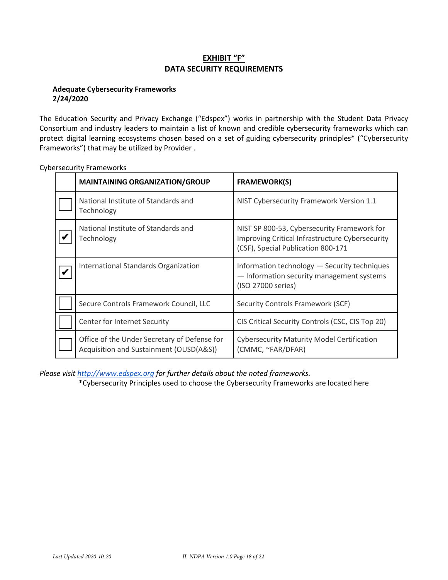## **EXHIBIT "F" DATA SECURITY REQUIREMENTS**

### **Adequate Cybersecurity Frameworks 2/24/2020**

The Education Security and Privacy Exchange ("Edspex") works in partnership with the Student Data Privacy Consortium and industry leaders to maintain a list of known and credible cybersecurity frameworks which can protect digital learning ecosystems chosen based on a set of guiding cybersecurity principles\* ("Cybersecurity Frameworks") that may be utilized by Provider .

| <b>MAINTAINING ORGANIZATION/GROUP</b>                                                   | <b>FRAMEWORK(S)</b>                                                                                                                  |
|-----------------------------------------------------------------------------------------|--------------------------------------------------------------------------------------------------------------------------------------|
| National Institute of Standards and<br>Technology                                       | NIST Cybersecurity Framework Version 1.1                                                                                             |
| National Institute of Standards and<br>Technology                                       | NIST SP 800-53, Cybersecurity Framework for<br>Improving Critical Infrastructure Cybersecurity<br>(CSF), Special Publication 800-171 |
| International Standards Organization                                                    | Information technology - Security techniques<br>- Information security management systems<br>(ISO 27000 series)                      |
| Secure Controls Framework Council, LLC                                                  | Security Controls Framework (SCF)                                                                                                    |
| Center for Internet Security                                                            | CIS Critical Security Controls (CSC, CIS Top 20)                                                                                     |
| Office of the Under Secretary of Defense for<br>Acquisition and Sustainment (OUSD(A&S)) | <b>Cybersecurity Maturity Model Certification</b><br>(CMMC, ~FAR/DFAR)                                                               |

Cybersecurity Frameworks

*Please visit http://www.edspex.org for further details about the noted frameworks.*

\*Cybersecurity Principles used to choose the Cybersecurity Frameworks are located here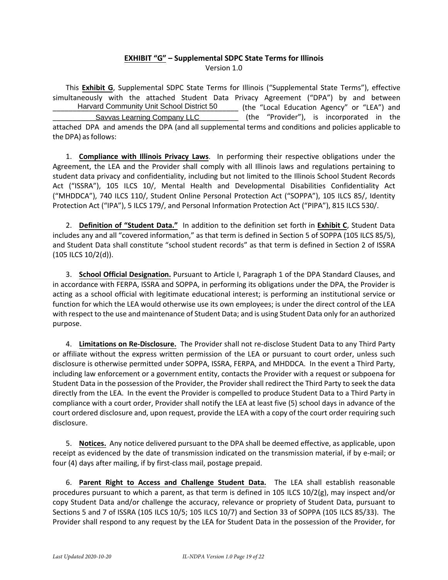#### **EXHIBIT "G" – Supplemental SDPC State Terms for Illinois** Version 1.0

This **Exhibit G**, Supplemental SDPC State Terms for Illinois ("Supplemental State Terms"), effective simultaneously with the attached Student Data Privacy Agreement ("DPA") by and between (the "Local Education Agency" or "LEA") and (the "Provider"), is incorporated in the attached DPA and amends the DPA (and all supplemental terms and conditions and policies applicable to the DPA) as follows: Harvard Community Unit School District 50 Savvas Learning Company LLC

1. **Compliance with Illinois Privacy Laws**. In performing their respective obligations under the Agreement, the LEA and the Provider shall comply with all Illinois laws and regulations pertaining to student data privacy and confidentiality, including but not limited to the Illinois School Student Records Act ("ISSRA"), 105 ILCS 10/, Mental Health and Developmental Disabilities Confidentiality Act ("MHDDCA"), 740 ILCS 110/, Student Online Personal Protection Act ("SOPPA"), 105 ILCS 85/, Identity Protection Act ("IPA"), 5 ILCS 179/, and Personal Information Protection Act ("PIPA"), 815 ILCS 530/.

2. **Definition of "Student Data."** In addition to the definition set forth in **Exhibit C**, Student Data includes any and all "covered information," as that term is defined in Section 5 of SOPPA (105 ILCS 85/5), and Student Data shall constitute "school student records" as that term is defined in Section 2 of ISSRA (105 ILCS 10/2(d)).

3. **School Official Designation.** Pursuant to Article I, Paragraph 1 of the DPA Standard Clauses, and in accordance with FERPA, ISSRA and SOPPA, in performing its obligations under the DPA, the Provider is acting as a school official with legitimate educational interest; is performing an institutional service or function for which the LEA would otherwise use its own employees; is under the direct control of the LEA with respect to the use and maintenance of Student Data; and is using Student Data only for an authorized purpose.

4. **Limitations on Re-Disclosure.** The Provider shall not re-disclose Student Data to any Third Party or affiliate without the express written permission of the LEA or pursuant to court order, unless such disclosure is otherwise permitted under SOPPA, ISSRA, FERPA, and MHDDCA. In the event a Third Party, including law enforcement or a government entity, contacts the Provider with a request or subpoena for Student Data in the possession of the Provider, the Provider shall redirect the Third Party to seek the data directly from the LEA. In the event the Provider is compelled to produce Student Data to a Third Party in compliance with a court order, Provider shall notify the LEA at least five (5) school days in advance of the court ordered disclosure and, upon request, provide the LEA with a copy of the court order requiring such disclosure.

5. **Notices.** Any notice delivered pursuant to the DPA shall be deemed effective, as applicable, upon receipt as evidenced by the date of transmission indicated on the transmission material, if by e-mail; or four (4) days after mailing, if by first-class mail, postage prepaid.

6. **Parent Right to Access and Challenge Student Data.** The LEA shall establish reasonable procedures pursuant to which a parent, as that term is defined in 105 ILCS 10/2(g), may inspect and/or copy Student Data and/or challenge the accuracy, relevance or propriety of Student Data, pursuant to Sections 5 and 7 of ISSRA (105 ILCS 10/5; 105 ILCS 10/7) and Section 33 of SOPPA (105 ILCS 85/33). The Provider shall respond to any request by the LEA for Student Data in the possession of the Provider, for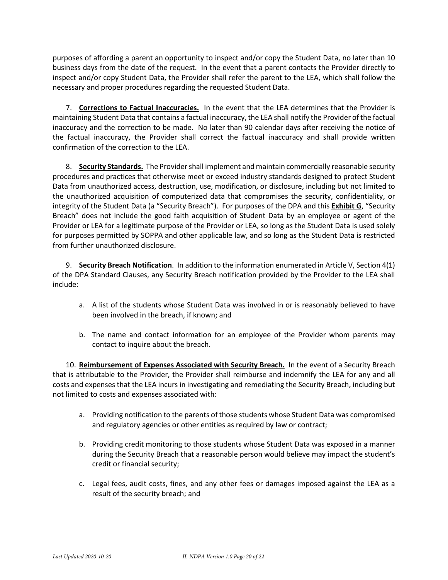purposes of affording a parent an opportunity to inspect and/or copy the Student Data, no later than 10 business days from the date of the request. In the event that a parent contacts the Provider directly to inspect and/or copy Student Data, the Provider shall refer the parent to the LEA, which shall follow the necessary and proper procedures regarding the requested Student Data.

7. **Corrections to Factual Inaccuracies.** In the event that the LEA determines that the Provider is maintaining Student Data that contains a factual inaccuracy, the LEA shall notify the Provider of the factual inaccuracy and the correction to be made. No later than 90 calendar days after receiving the notice of the factual inaccuracy, the Provider shall correct the factual inaccuracy and shall provide written confirmation of the correction to the LEA.

8. **Security Standards.** The Provider shall implement and maintain commercially reasonable security procedures and practices that otherwise meet or exceed industry standards designed to protect Student Data from unauthorized access, destruction, use, modification, or disclosure, including but not limited to the unauthorized acquisition of computerized data that compromises the security, confidentiality, or integrity of the Student Data (a "Security Breach"). For purposes of the DPA and this **Exhibit G**, "Security Breach" does not include the good faith acquisition of Student Data by an employee or agent of the Provider or LEA for a legitimate purpose of the Provider or LEA, so long as the Student Data is used solely for purposes permitted by SOPPA and other applicable law, and so long as the Student Data is restricted from further unauthorized disclosure.

9. **Security Breach Notification**. In addition to the information enumerated in Article V, Section 4(1) of the DPA Standard Clauses, any Security Breach notification provided by the Provider to the LEA shall include:

- a. A list of the students whose Student Data was involved in or is reasonably believed to have been involved in the breach, if known; and
- b. The name and contact information for an employee of the Provider whom parents may contact to inquire about the breach.

10. **Reimbursement of Expenses Associated with Security Breach.** In the event of a Security Breach that is attributable to the Provider, the Provider shall reimburse and indemnify the LEA for any and all costs and expenses that the LEA incurs in investigating and remediating the Security Breach, including but not limited to costs and expenses associated with:

- a. Providing notification to the parents of those students whose Student Data was compromised and regulatory agencies or other entities as required by law or contract;
- b. Providing credit monitoring to those students whose Student Data was exposed in a manner during the Security Breach that a reasonable person would believe may impact the student's credit or financial security;
- c. Legal fees, audit costs, fines, and any other fees or damages imposed against the LEA as a result of the security breach; and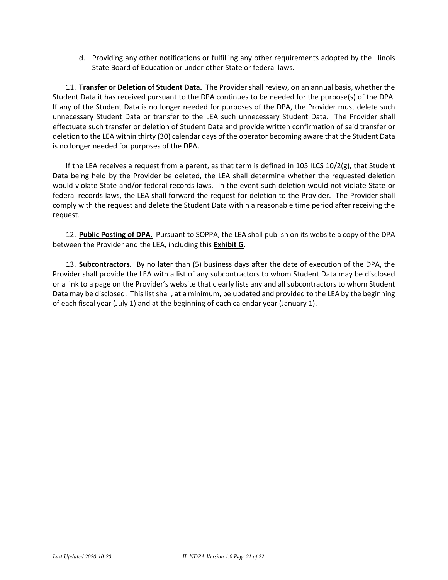d. Providing any other notifications or fulfilling any other requirements adopted by the Illinois State Board of Education or under other State or federal laws.

11. **Transfer or Deletion of Student Data.** The Provider shall review, on an annual basis, whether the Student Data it has received pursuant to the DPA continues to be needed for the purpose(s) of the DPA. If any of the Student Data is no longer needed for purposes of the DPA, the Provider must delete such unnecessary Student Data or transfer to the LEA such unnecessary Student Data. The Provider shall effectuate such transfer or deletion of Student Data and provide written confirmation of said transfer or deletion to the LEA within thirty (30) calendar days of the operator becoming aware that the Student Data is no longer needed for purposes of the DPA.

If the LEA receives a request from a parent, as that term is defined in 105 ILCS 10/2(g), that Student Data being held by the Provider be deleted, the LEA shall determine whether the requested deletion would violate State and/or federal records laws. In the event such deletion would not violate State or federal records laws, the LEA shall forward the request for deletion to the Provider. The Provider shall comply with the request and delete the Student Data within a reasonable time period after receiving the request.

12. **Public Posting of DPA.** Pursuant to SOPPA, the LEA shall publish on its website a copy of the DPA between the Provider and the LEA, including this **Exhibit G**.

13. **Subcontractors.** By no later than (5) business days after the date of execution of the DPA, the Provider shall provide the LEA with a list of any subcontractors to whom Student Data may be disclosed or a link to a page on the Provider's website that clearly lists any and all subcontractors to whom Student Data may be disclosed. This list shall, at a minimum, be updated and provided to the LEA by the beginning of each fiscal year (July 1) and at the beginning of each calendar year (January 1).